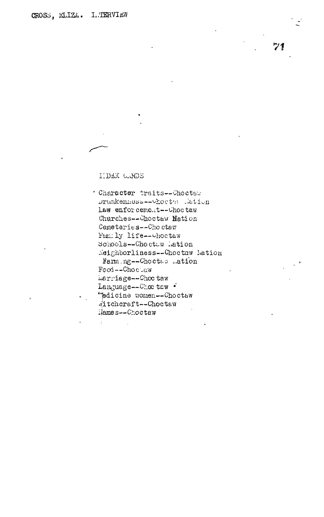$71$ 

## I13BX UvHDS

 $\bar{z}$ 

Character traits--Choctaw Drunkenness--Vhocts lation Law enforcement--Choctaw Churches--Choctaw Mation Cemeteries--Choctaw i'&culy life—ohoct&w Schools--Choctuw Ration  $N$ eighborliness--Choctaw Ration Harm ng--Choctaw ration  $Food -- Cho$   $c$   $\vee$  aw herriage--Choc taw Language--Choc taw  $\cdot$ "pdicine women -- Choctaw 'itch craft—Choctavi iiames—Choctaw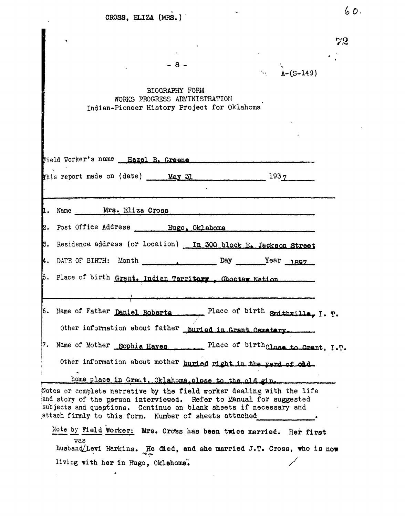| CROSS, ELIZA (MRS.)                                                                                                                                                                                                                                                                                                                                                                                                                                                                            | 6D.                                |
|------------------------------------------------------------------------------------------------------------------------------------------------------------------------------------------------------------------------------------------------------------------------------------------------------------------------------------------------------------------------------------------------------------------------------------------------------------------------------------------------|------------------------------------|
|                                                                                                                                                                                                                                                                                                                                                                                                                                                                                                | 72                                 |
| - 8 -<br>N.                                                                                                                                                                                                                                                                                                                                                                                                                                                                                    | $A - (S - 149)$                    |
| BIOGRAPHY FORM<br>WORKS PROGRESS ADMINISTRATION<br>Indian-Pioneer History Project for Oklahoma                                                                                                                                                                                                                                                                                                                                                                                                 |                                    |
|                                                                                                                                                                                                                                                                                                                                                                                                                                                                                                |                                    |
| Field Worker's name Hazel B. Greene                                                                                                                                                                                                                                                                                                                                                                                                                                                            |                                    |
| This report made on $(data)$ May 31 $1937$                                                                                                                                                                                                                                                                                                                                                                                                                                                     |                                    |
| 1. Name Mrs. Eliza Cross                                                                                                                                                                                                                                                                                                                                                                                                                                                                       |                                    |
| 2. Post Office Address Hugo, Oklahoma                                                                                                                                                                                                                                                                                                                                                                                                                                                          |                                    |
| 3. Residence address (or location) In 300 block E. Jackson Street                                                                                                                                                                                                                                                                                                                                                                                                                              |                                    |
|                                                                                                                                                                                                                                                                                                                                                                                                                                                                                                |                                    |
|                                                                                                                                                                                                                                                                                                                                                                                                                                                                                                | Year <sub>1897</sub>               |
|                                                                                                                                                                                                                                                                                                                                                                                                                                                                                                |                                    |
|                                                                                                                                                                                                                                                                                                                                                                                                                                                                                                |                                    |
|                                                                                                                                                                                                                                                                                                                                                                                                                                                                                                | Place of birth Smithwille, I. T.   |
| Other information about father buried in Grant Cematary.                                                                                                                                                                                                                                                                                                                                                                                                                                       |                                    |
|                                                                                                                                                                                                                                                                                                                                                                                                                                                                                                | Place of birthclass to Crant, I.T. |
| Other information about mother buried right in the verd of old.                                                                                                                                                                                                                                                                                                                                                                                                                                |                                    |
| home place in Gramt. Oklahoma close to the old gin.                                                                                                                                                                                                                                                                                                                                                                                                                                            |                                    |
| k.<br>5. Place of birth Grant. Indian Territory Choctar Nation<br>6. Name of Father Daniel Roberts<br>7. Name of Mother Sophia Haves<br>Notes or complete narrative by the field worker dealing with the life<br>and story of the parson interviewed. Refer to Manual for suggested<br>subjects and questions. Continue on blank sheets if necessary and<br>attach firmly to this form. Number of sheets attached<br>Note by Field Worker: Mrs. Cross has been twice married. Her first<br>was |                                    |
| husband/Levi Harkins. He died, and she married J.T. Cross, who is now<br>living with her in Hugo, Oklahoma.                                                                                                                                                                                                                                                                                                                                                                                    |                                    |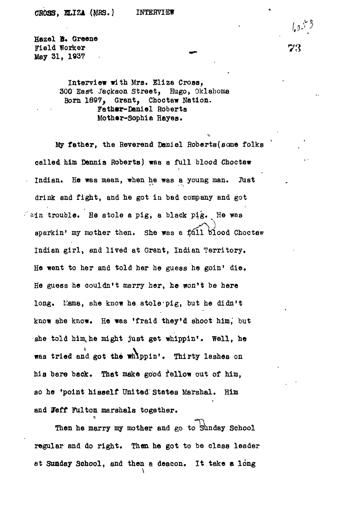**Hazel 8. Greene Field Worker May 31, 1937**

> Interview with Mrs. Eliza Cross. 300 East Jackson Street, Hugo, Oklahoma Born 1897, Grant, Cboctaw Nation. Fathwr-Daniel Roberta Mother-Sophia Hayes.

My father, the Reverend Daniel Roberts(some folks called him Dennis Roberts) was a full blood Choctaw Indian. He was mean, when he was a young man. Just drink and fight, and he got in bad company and got  $\hat{z}$  ain trouble. He stole a pig, a black pig. He was sparkin' my mother then. She was a  $f$ all blood Choctaw Indian girl, and lived at Grant, Indian Territory. He went to her and told her he guess he goin' die. He guess he couldn't marry her, he won't be here long. Mama, she know he stole pig, but he didn't know she know. He was 'fraid they'd shoot him, but she told him, he might just get whippin'. Well, he was tried and got the whippin'. Thirty lashes on hia bare bade. That make good fellow out of him, so he 'point hisself United; States Marshal. Him and Feff Fulton marshals together.

Then he marry my mother and go to Sunday School regular and do right. Then he got to be class leader at Sunday School, and then a deacon. It take a long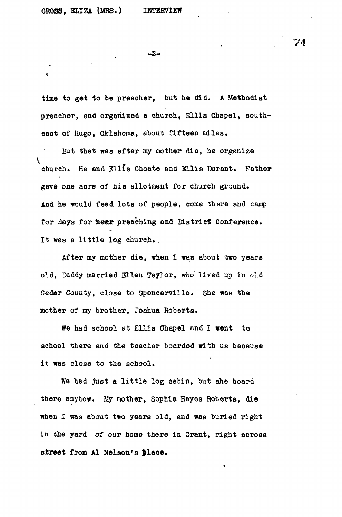ė

-2-

time to get to be preacher, but he did. A Methodist preacher, and organized a church,.Ellis Chapel, southeast of Hugo, Oklahoma, about fifteen miles.

But that was after my mother die, he organize church. He and Ellfs Choate and Ellis Durant. Father gave one acre of his allotment for church ground. And he would feed lots of people, come there and camp for days for hear preaching and District Conference. It was a little log church. .

After my mother die, when I was about two years old, Daddy married Ellen Taylor, who lived up in old Cedar County, close to Spencerville. she was the mother of my brother, Joshua Roberts.

We had school at Ellis Chapel and I went to school there and the teacher boarded with us because it was close to the school.

We had just a little log cabin, but she board there anyhow. My mother, Sophia Hayes Roberts, die when I was about two years old, and was buried right in the yard of our home there in Grant, right across street from Al Nelson's place.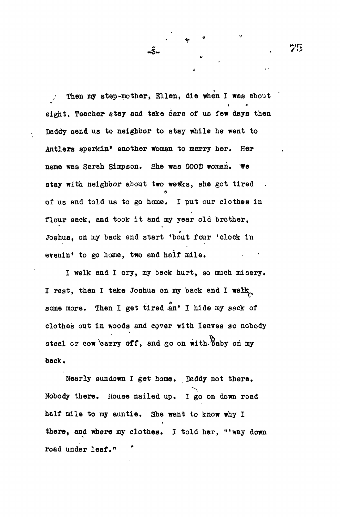Then my step-mother, Ellen, die when I was about  $\mathcal{L}$ eight. Teacher stay and take care of us few days then Daddy senfl us to neighbor to stay while he went to Antlers sparkin' another woman to marry her. Her name was Sarah Simpson. She was GOOD woman. We stay with neighbor about two wesks, she got tired of us and told ua to go home, I put our clothes in flour sack, and took it and my year old brother, Joshua, on my back and start 'bout four 'clock in evenin<sup>f</sup> to go home, two and half mile.

•3\*

I walk and I cry, my back hurt, so much misery. I rest, then I take Joshua on my back and I walk some more. Then I get tired an' I hide my sack of clothes out in woods and cover with leaves so nobody steal or cow carry off, and go on with baby on my back.

Nearly sundown I get home. Daddy not there. Nobody there. House nailed up. I go on down road half mile to my auntie. She want to know why I there, and where my clothes. I told her, "'way down road under leaf."

75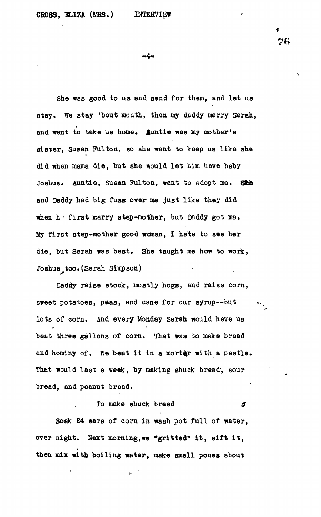**t 76**

-4-

She was good to us and send for them, and let us **stay. We stay 'bout month, then my daddy marry Sarah,** and want to take us home. Suntie was my mother's **sister, Susan Fulton, so she want to keep us like she** did when mama die, but she would let him have baby Joshua. Auntie, Susan Fulton, want to adopt me. She **and Daddy had big fuss over me just like they did when h - first marry step-mother, but Daddy got me. My first step-mother good woman, I hate to see her die, but Sarah was best. She taught me how to work, Joshua too.(Sarah Simpson)**

**Daddy raise stock, mostly hogs, and raise corn, sweet potatoes, peas, and cane for our syrup—but lots of corn. And every Monday Sarah would have us beat three gallons of corn. That was to make bread and hominy of. We beat it in a mortar with a pestle. That would last a week, by making shuck bread, sour bread, and peanut bread.**

**To make shuck bread**  $\mathcal{J}$ **Soak £4 ears of corn in wash pot full of water, over night. Next morning,we "gritted" it , sift it , then mix with boiling water, make small pones about**

b.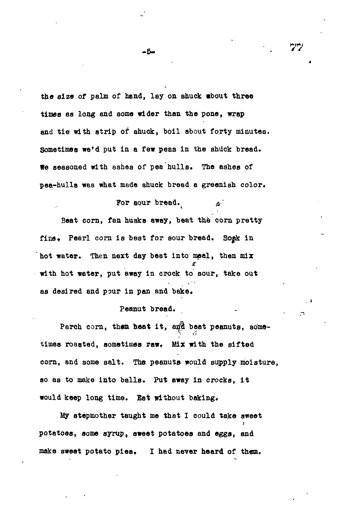the size of palm of hand, lay on shuck whout three times as long and some wider than the pone, wrap and tie with strip of shuck, boil about forty minutes. Sometimes we'd put in a few peas in the shuck bread. We seasoned with ashes of pea hulls. The ashes of pea-hulls was what made shuck bread a greenish color.

For sour bread. Beat corn, fan husks away, beat the corn pretty fine. Pearl corn is best for sour bread. Soak in hot water. Then next day beat into meal, then mix with hot water, put away in crock to sour, take out as desired and pour in pan and bake.

## Peanut bread.

Parch corn, then heat it, and beat peanuts, sometimes roasted, sometimes raw. Mix with the sifted corn, and some salt. The peanuta would supply moisture, so as to make into balls. Put away in crocks, it would keep long time. Eat without baking.

My stepmother taught me that 1 could take sweet potatoes, some syrup, sweet potatoes and eggs, and make sweet potato pies. I had never heard of them.

-5.

*>yry*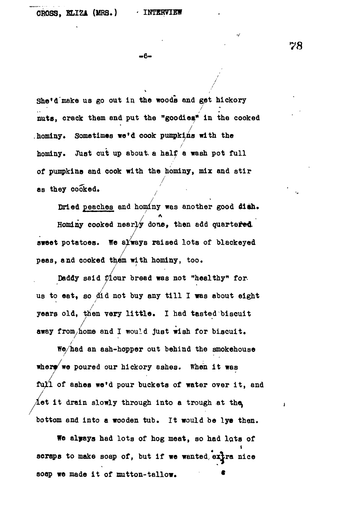**78**

 $\mathbf{I}$ 

 $-6-$ 

**She'd "make us go out in the woods and get hickory nuts, crack them and put the "goodies<sup>1</sup> ' in the cooked** hominy. Sometimes we'd cook pumpkins with the hominy. Just cut up about a half a wash pot full **of pumpkins and cook with the hominy, mix and sti r as they cooked.**

Dried peaches and hominy was another good dish. **Hominy cooked nearly done, then add quartered, sweet potatoes. We always raised lots of blackeyed** peas, and cooked them with hominy, too.

Daddy said flour bread was not "healthy" forus to eat, so did not buy any till I was about eight years old, then very little. I had tasted biscuit **away from/home and I would Just wish for biscuit.**

**We/had an ash-hopper out behind the smokehouse** where we poured our hickory ashes. When it was full of ashes we'd pour buckets of water over it, and **Aet it drain slowly through into a trough at the** bottom and into a wooden tub. It would be lye then.

**bottom and into a wooden tub. It would be lye then.** scraps to make soap of, but if we wanted extra nice **scraps to make soap of, but if we wanted, extra nice**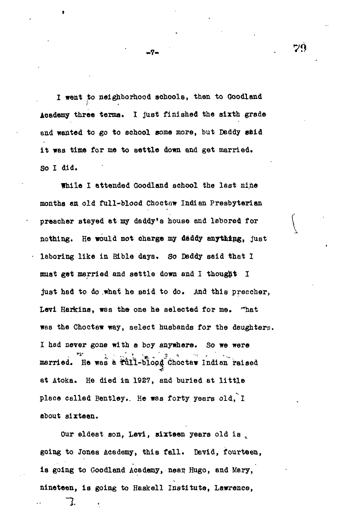I went to neighborhood schools, then to Goodland Academy three terma. I just finished the sixth grade and wanted to go to school some more, but Daddy said it was time for me to settle down and get married. So I did.

While I attended Goodland school the last nine months en old full-blood Choetaw Indian Presbyterian preacher stayed et my daddy's house and labored for nothing. He would not charge my daddy anything, just laboring like in Bible days. So Daddy said that 1 must get married and settle down and I thought I just had to do .what he said to do. And this preacher, Levi Harkins, was the one he selected for me. '"hat was the Choctaw way, select husbands for the daughters, I had never gone with a boy anywhere. So we were married. He was a tull-blood Choctaw Indian raised at Atoka. He died in 1927, and buried at little place celled Bentley.. He was forty years old, I about sixteen.

Our eldest son, Levi, sixteen years old is going to Jones Academy, this fall. David, fourteen, is going to Goodland Academy, near Hugo, and Mary, nineteen, is going to Haskell Institute, Lawrence,

-7.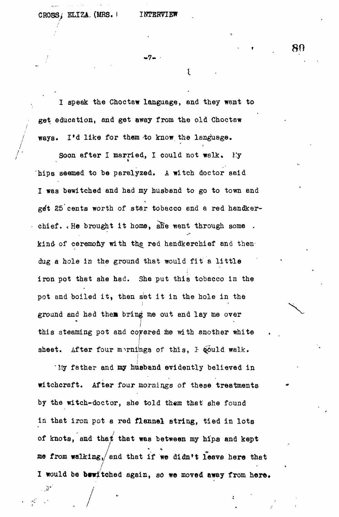CROSS, ELIZA. (MRS.) INTERVIEW

/

 $\frac{1}{2}$ 

• 7 - -

**I**

I speak the Choctaw language, and they went to get education, and get away from the old Choctaw / ways. I'd like for them to know, the language.

Soon after I married, I could not walk. My hips seemed to be paralyzed. A witch doctor said I was bewitched and had my husband to go to town and get 25 cents worth of star tobacco and a red handkerchief.  $\sqrt{1}$  He brought it home, alle went through some . kind of ceremony with the red handkerchief and then dug a hole in the ground that would fit a little iron pot that she had. She put this tobacco in the pot and boiled it, then set it in the hole in the ground and had them bring me out and lay me over ground and had thea bring me over  $\mathcal{A}$ this steaming pot and covered me with another white this steaming pot and covered me with another white  $\mathcal{A}$ After four mernings of this, I gould walk. sheet. sheet. After four imrnilngs of this, *I* \$<Suld walk.

My father and my husband evidently believed in "My father and my husband evidently believed in the state of the state of the state of the state of the state of the state of the state of the state of the state of the state of the state of the state of the state of the s witchcraft. After four mornings of these treatments witch four mornings of these treatments of these treatments of these treatments of these treatments of these treatments of the second by the witch-doctor, she told them that she found by the witch-doctor, she told *them* that she found in that iron pot a red flannel string, tied in lots of knots, and that that was between my hips and kept of that was between my hip-and that was between  $\int_{\mathbb{R}^d}$  and keptus between  $\int_{\mathbb{R}^d}$ me from walking, and that if we didn't leave here that me from walking,/end that if we didn't *leave* here that I would be bewitched again, so we moved away from here\* **. 80**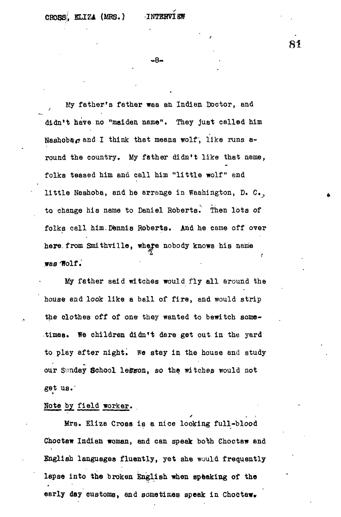**- 8 -**

My father's father was an Indian Doctor, and didn't have no "maiden name". They just called him Nashobar and I think that means wolf, like runs around the country. My father didn't like that name, folks teased him and call him "little wolf" and little Nashoba, and he arrange in Washington, D. C., to change his name to Daniel Roberts.' Then lots of folks call him.Dennis Roberts. And he came off over here from Smithville, where nobody knows his name **t** was Wolf.

My father said witches would fly all around the  $M_{\rm p}$  factor said witches would fly all around the said  $\sim$ house and look like a ball of fire, and would strip the clothes off of one they wanted to bewitch sometimes. We children didn't dare get out in the yard to play after night. We stay in the house and study our Sunday School lesson, so the witches would not get us.'

## Note by\_ field worker.

Mrs. Eliza Cross is a nice looking full-blood Choctaw Indian woman, and can speak both Choctaw and English languages fluently, yet she would frequently lapse into the broken English when speaking of the early day customs, and sometimes speak in Choctaw.

**81**